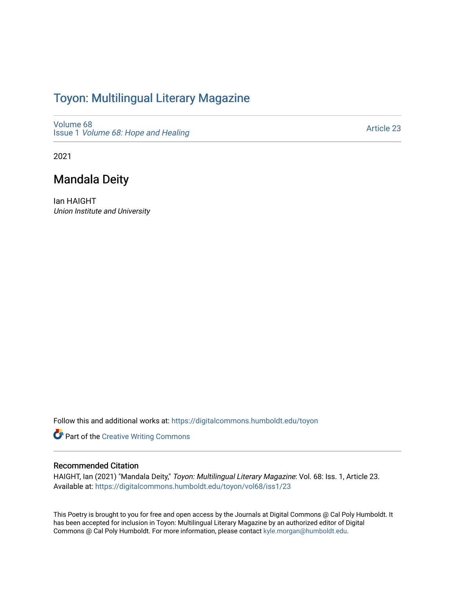## Toyon: Multilingual Literar[y](https://digitalcommons.humboldt.edu/toyon) Magazine

[Volume 68](https://digitalcommons.humboldt.edu/toyon/vol68) Issue 1 [Volume 68: Hope and Healing](https://digitalcommons.humboldt.edu/toyon/vol68/iss1) 

[Article 23](https://digitalcommons.humboldt.edu/toyon/vol68/iss1/23) 

2021

## Mandala Deity

Ian HAIGHT Union Institute and University

Follow this and additional works at: [https://digitalcommons.humboldt.edu/toyon](https://digitalcommons.humboldt.edu/toyon?utm_source=digitalcommons.humboldt.edu%2Ftoyon%2Fvol68%2Fiss1%2F23&utm_medium=PDF&utm_campaign=PDFCoverPages)

Part of the [Creative Writing Commons](http://network.bepress.com/hgg/discipline/574?utm_source=digitalcommons.humboldt.edu%2Ftoyon%2Fvol68%2Fiss1%2F23&utm_medium=PDF&utm_campaign=PDFCoverPages) 

#### Recommended Citation

HAIGHT, Ian (2021) "Mandala Deity," Toyon: Multilingual Literary Magazine: Vol. 68: Iss. 1, Article 23. Available at: [https://digitalcommons.humboldt.edu/toyon/vol68/iss1/23](https://digitalcommons.humboldt.edu/toyon/vol68/iss1/23?utm_source=digitalcommons.humboldt.edu%2Ftoyon%2Fvol68%2Fiss1%2F23&utm_medium=PDF&utm_campaign=PDFCoverPages) 

This Poetry is brought to you for free and open access by the Journals at Digital Commons @ Cal Poly Humboldt. It has been accepted for inclusion in Toyon: Multilingual Literary Magazine by an authorized editor of Digital Commons @ Cal Poly Humboldt. For more information, please contact [kyle.morgan@humboldt.edu](mailto:kyle.morgan@humboldt.edu).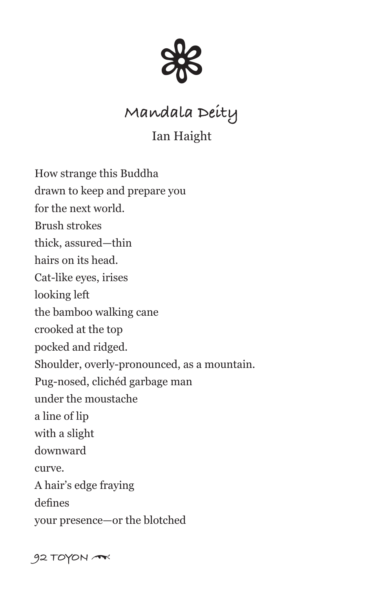

# **Mandala Deity**

### Ian Haight

How strange this Buddha drawn to keep and prepare you for the next world. Brush strokes thick, assured—thin hairs on its head. Cat-like eyes, irises looking left the bamboo walking cane crooked at the top pocked and ridged. Shoulder, overly-pronounced, as a mountain. Pug-nosed, clichéd garbage man under the moustache a line of lip with a slight downward curve. A hair's edge fraying defines your presence—or the blotched

**92 TOYON** \